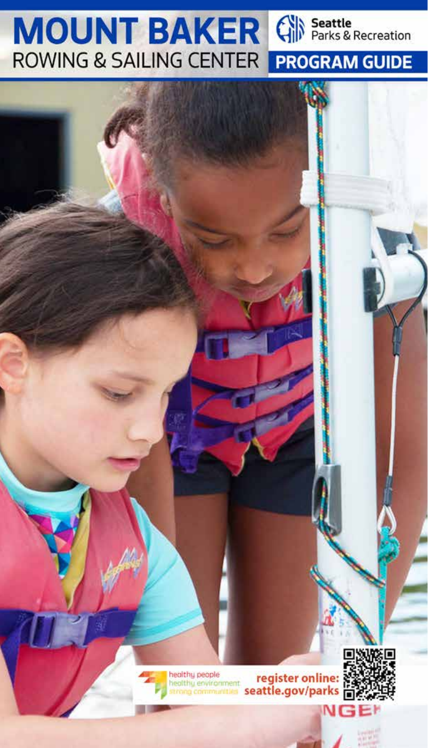### **MOUNT BAKER Gill Seattle ROWING & SAILING CENTER PROGRAM GUIDE**

healthy people healthy environment trong communities

register online:<br>seattle.gov/parks

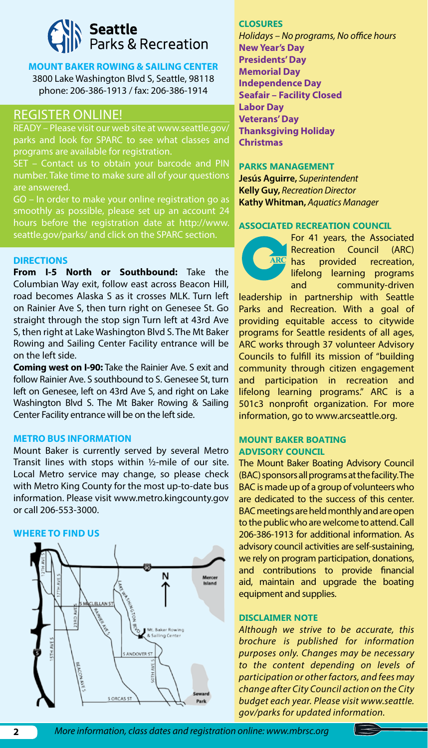# **Seattle**<br>Parks & Recreation

#### **MOUNT BAKER ROWING & SAILING CENTER** 3800 Lake Washington Blvd S, Seattle, 98118 phone: 206-386-1913 / fax: 206-386-1914

#### REGISTER ONLINE!

READY – Please visit our web site at www.seattle.gov/ parks and look for SPARC to see what classes and programs are available for registration.

number. Take time to make sure all of your questions are answered.

GO – In order to make your online registration go as smoothly as possible, please set up an account 24 hours before the registration date at http://www. seattle.gov/parks/ and click on the SPARC section.

#### **DIRECTIONS**

**From I-5 North or Southbound:** Take the Columbian Way exit, follow east across Beacon Hill, road becomes Alaska S as it crosses MLK. Turn left on Rainier Ave S, then turn right on Genesee St. Go straight through the stop sign Turn left at 43rd Ave S, then right at Lake Washington Blvd S. The Mt Baker Rowing and Sailing Center Facility entrance will be on the left side.

**Coming west on I-90:** Take the Rainier Ave. S exit and follow Rainier Ave. S southbound to S. Genesee St, turn left on Genesee, left on 43rd Ave S, and right on Lake Washington Blvd S. The Mt Baker Rowing & Sailing Center Facility entrance will be on the left side.

#### **METRO BUS INFORMATION**

Mount Baker is currently served by several Metro Transit lines with stops within  $1/2$ -mile of our site. Local Metro service may change, so please check with Metro King County for the most up-to-date bus information. Please visit www.metro.kingcounty.gov or call 206-553-3000.

#### **WHERE TO FIND US**



#### **CLOSURES**

*Holidays – No programs, No office hours* **New Year's Day Presidents' Day Memorial Day Independence Day Seafair – Facility Closed Labor Day Veterans' Day Thanksgiving Holiday Christmas**

#### **PARKS MANAGEMENT**

**Jesús Aguirre,** *Superintendent* **Kelly Guy,** *Recreation Director* **Kathy Whitman,** *Aquatics Manager*

#### **ASSOCIATED RECREATION COUNCIL**

For 41 years, the Associated Recreation Council (ARC) has provided recreation, lifelong learning programs and community-driven

leadership in partnership with Seattle Parks and Recreation. With a goal of providing equitable access to citywide programs for Seattle residents of all ages, ARC works through 37 volunteer Advisory Councils to fulfill its mission of "building community through citizen engagement and participation in recreation and lifelong learning programs." ARC is a 501c3 nonprofit organization. For more information, go to www.arcseattle.org.

#### **MOUNT BAKER BOATING ADVISORY COUNCIL**

The Mount Baker Boating Advisory Council (BAC) sponsors all programs at the facility. The BAC is made up of a group of volunteers who are dedicated to the success of this center. BAC meetings are held monthly and are open to the public who are welcome to attend. Call 206-386-1913 for additional information. As advisory council activities are self-sustaining, we rely on program participation, donations, and contributions to provide financial aid, maintain and upgrade the boating equipment and supplies.

#### **DISCLAIMER NOTE**

*Although we strive to be accurate, this brochure is published for information purposes only. Changes may be necessary to the content depending on levels of participation or other factors, and fees may change after City Council action on the City budget each year. Please visit www.seattle. gov/parks for updated information.*

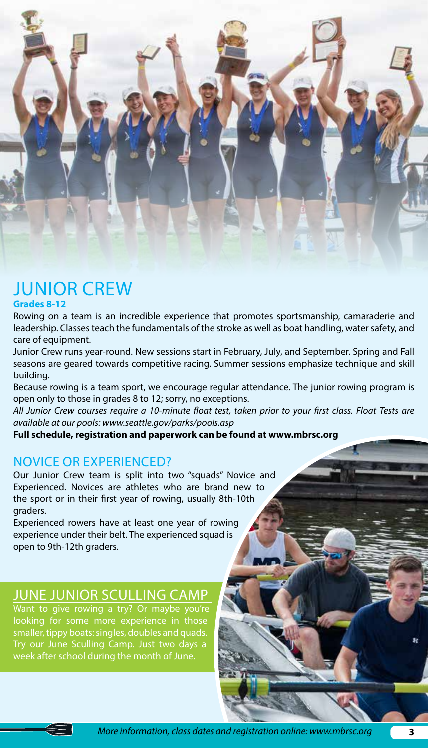

### JUNIOR CREW

#### **Grades 8-12**

Rowing on a team is an incredible experience that promotes sportsmanship, camaraderie and leadership. Classes teach the fundamentals of the stroke as well as boat handling, water safety, and care of equipment.

Junior Crew runs year-round. New sessions start in February, July, and September. Spring and Fall seasons are geared towards competitive racing. Summer sessions emphasize technique and skill building.

Because rowing is a team sport, we encourage regular attendance. The junior rowing program is open only to those in grades 8 to 12; sorry, no exceptions.

*All Junior Crew courses require a 10-minute float test, taken prior to your first class. Float Tests are available at our pools: www.seattle.gov/parks/pools.asp*

**Full schedule, registration and paperwork can be found at www.mbrsc.org**

#### NOVICE OR EXPERIENCED?

Our Junior Crew team is split into two "squads" Novice and Experienced. Novices are athletes who are brand new to the sport or in their first year of rowing, usually 8th-10th graders.

Experienced rowers have at least one year of rowing experience under their belt. The experienced squad is open to 9th-12th graders.

#### JUNE JUNIOR SCULLING CAMP

Want to give rowing a try? Or maybe you're looking for some more experience in those smaller, tippy boats: singles, doubles and quads. Try our June Sculling Camp. Just two days a week after school during the month of June.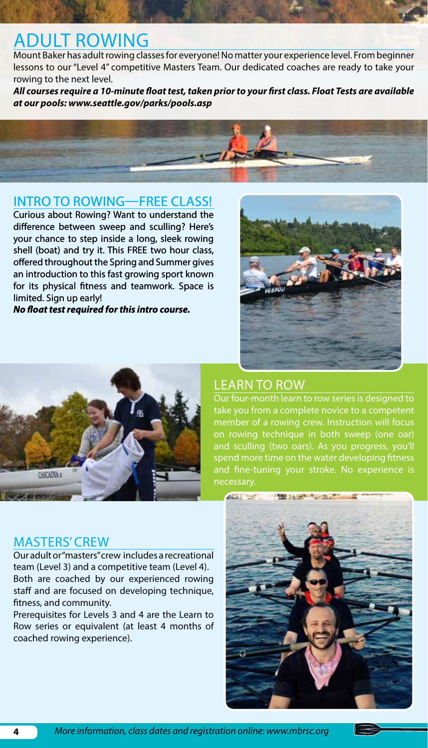### ADULT ROWING

Mount Baker has adult rowing classes for everyone! No matter your experience level. From beginner lessons to our "Level 4" competitive Masters Team. Our dedicated coaches are ready to take your rowing to the next level.

*All courses require a 10-minute float test, taken prior to your first class. Float Tests are available at our pools: www.seattle.gov/parks/pools.asp*



#### INTRO TO ROWING—FREE CLASS!

Curious about Rowing? Want to understand the difference between sweep and sculling? Here's your chance to step inside a long, sleek rowing shell (boat) and try it. This FREE two hour class, offered throughout the Spring and Summer gives an introduction to this fast growing sport known for its physical fitness and teamwork. Space is limited. Sign up early!

*No float test required for this intro course.*





#### LEARN TO ROW

Our four-month learn to row series is designed to take you from a complete novice to a competent member of a rowing crew. Instruction will focus on rowing technique in both sweep (one oar) and sculling (two oars). As you progress, you'll spend more time on the water developing fitness and fine-tuning your stroke. No experience is necessary.

#### MASTERS' CREW

Our adult or "masters" crew includes a recreational team (Level 3) and a competitive team (Level 4). Both are coached by our experienced rowing staff and are focused on developing technique, fitness, and community.

Prerequisites for Levels 3 and 4 are the Learn to Row series or equivalent (at least 4 months of coached rowing experience).

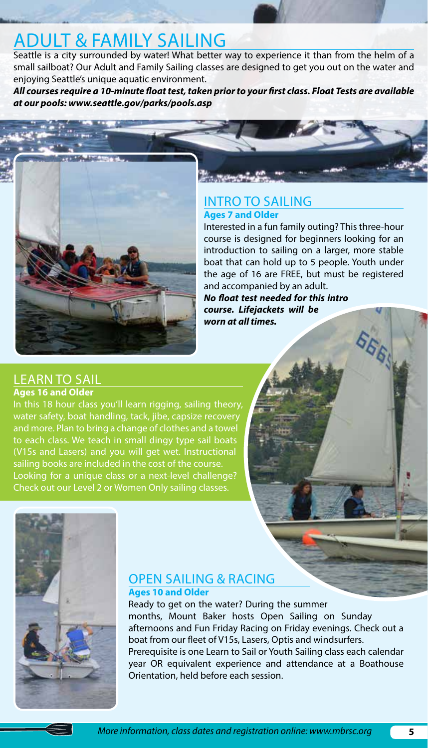### ADULT & FAMILY SAILING

Seattle is a city surrounded by water! What better way to experience it than from the helm of a small sailboat? Our Adult and Family Sailing classes are designed to get you out on the water and enjoying Seattle's unique aquatic environment.

*All courses require a 10-minute float test, taken prior to your first class. Float Tests are available at our pools: www.seattle.gov/parks/pools.asp*

#### INTRO TO SAILING **Ages 7 and Older**

Interested in a fun family outing? This three-hour course is designed for beginners looking for an introduction to sailing on a larger, more stable boat that can hold up to 5 people. Youth under the age of 16 are FREE, but must be registered and accompanied by an adult.

**556** 

*No float test needed for this intro course. Lifejackets will be worn at all times.*

#### LEARN TO SAIL **Ages 16 and Older**

In this 18 hour class you'll learn rigging, sailing theory, water safety, boat handling, tack, jibe, capsize recovery and more. Plan to bring a change of clothes and a towel to each class. We teach in small dingy type sail boats (V15s and Lasers) and you will get wet. Instructional sailing books are included in the cost of the course. Looking for a unique class or a next-level challenge? Check out our Level 2 or Women Only sailing classes.



#### OPEN SAILING & RACING

**Ages 10 and Older**

Ready to get on the water? During the summer months, Mount Baker hosts Open Sailing on Sunday afternoons and Fun Friday Racing on Friday evenings. Check out a boat from our fleet of V15s, Lasers, Optis and windsurfers. Prerequisite is one Learn to Sail or Youth Sailing class each calendar year OR equivalent experience and attendance at a Boathouse Orientation, held before each session.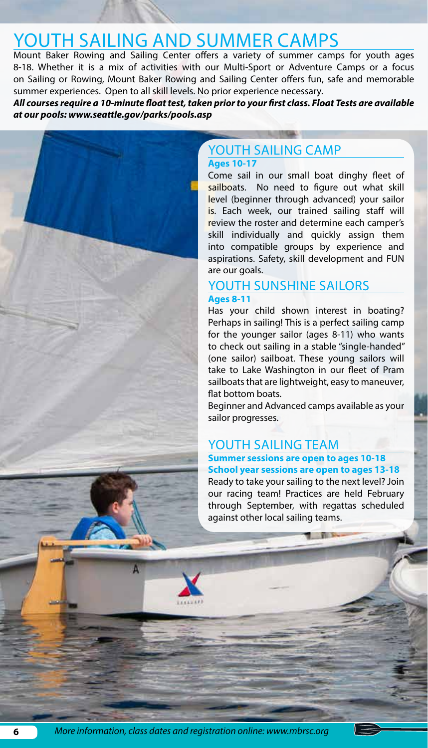### YOUTH SAILING AND SUMMER CAMPS

Mount Baker Rowing and Sailing Center offers a variety of summer camps for youth ages 8-18. Whether it is a mix of activities with our Multi-Sport or Adventure Camps or a focus on Sailing or Rowing, Mount Baker Rowing and Sailing Center offers fun, safe and memorable summer experiences. Open to all skill levels. No prior experience necessary.

*All courses require a 10-minute float test, taken prior to your first class. Float Tests are available at our pools: www.seattle.gov/parks/pools.asp*

#### YOUTH SAILING CAMP **Ages 10-17**

Come sail in our small boat dinghy fleet of sailboats. No need to figure out what skill level (beginner through advanced) your sailor is. Each week, our trained sailing staff will review the roster and determine each camper's skill individually and quickly assign them into compatible groups by experience and aspirations. Safety, skill development and FUN are our goals.

#### YOUTH SUNSHINE SAILORS **Ages 8-11**

Has your child shown interest in boating? Perhaps in sailing! This is a perfect sailing camp for the younger sailor (ages 8-11) who wants to check out sailing in a stable "single-handed" (one sailor) sailboat. These young sailors will take to Lake Washington in our fleet of Pram sailboats that are lightweight, easy to maneuver, flat bottom boats.

Beginner and Advanced camps available as your sailor progresses.

#### YOUTH SAILING TEAM

#### **Summer sessions are open to ages 10-18 School year sessions are open to ages 13-18**

Ready to take your sailing to the next level? Join our racing team! Practices are held February through September, with regattas scheduled against other local sailing teams.

Δ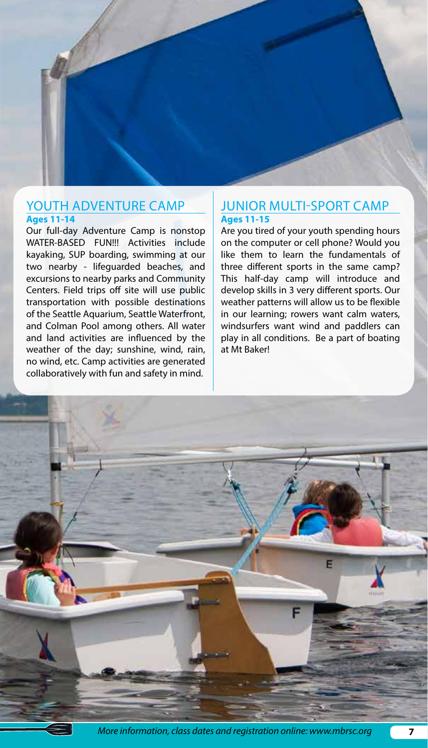#### YOUTH ADVENTURE CAMP **Ages 11-14**

Our full-day Adventure Camp is nonstop WATER-BASED FUN!!! Activities include kayaking, SUP boarding, swimming at our two nearby - lifeguarded beaches, and excursions to nearby parks and Community Centers. Field trips off site will use public transportation with possible destinations of the Seattle Aquarium, Seattle Waterfront, and Colman Pool among others. All water and land activities are influenced by the weather of the day; sunshine, wind, rain, no wind, etc. Camp activities are generated collaboratively with fun and safety in mind.

#### JUNIOR MULTI-SPORT CAMP **Ages 11-15**

Are you tired of your youth spending hours on the computer or cell phone? Would you like them to learn the fundamentals of three different sports in the same camp? This half-day camp will introduce and develop skills in 3 very different sports. Our weather patterns will allow us to be flexible in our learning; rowers want calm waters, windsurfers want wind and paddlers can play in all conditions. Be a part of boating at Mt Baker!



*More information, class dates and registration online: www.mbrsc.org*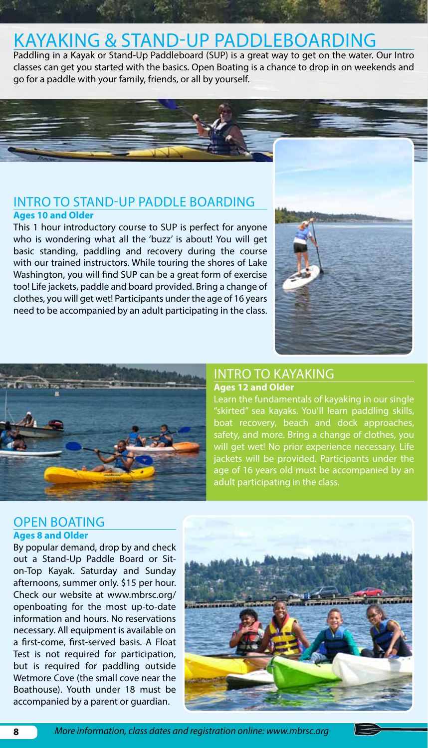### KAYAKING & STAND-UP PADDLEBOARDING

Paddling in a Kayak or Stand-Up Paddleboard (SUP) is a great way to get on the water. Our Intro classes can get you started with the basics. Open Boating is a chance to drop in on weekends and go for a paddle with your family, friends, or all by yourself.

#### INTRO TO STAND-UP PADDLE BOARDING **Ages 10 and Older**

This 1 hour introductory course to SUP is perfect for anyone who is wondering what all the 'buzz' is about! You will get basic standing, paddling and recovery during the course with our trained instructors. While touring the shores of Lake Washington, you will find SUP can be a great form of exercise too! Life jackets, paddle and board provided. Bring a change of clothes, you will get wet! Participants under the age of 16 years need to be accompanied by an adult participating in the class.





### INTRO TO KAYAKING

**Ages 12 and Older**

Learn the fundamentals of kayaking in our single "skirted" sea kayaks. You'll learn paddling skills, boat recovery, beach and dock approaches, safety, and more. Bring a change of clothes, you will get wet! No prior experience necessary. Life jackets will be provided. Participants under the age of 16 years old must be accompanied by an adult participating in the class.

#### OPEN BOATING **Ages 8 and Older**

By popular demand, drop by and check out a Stand-Up Paddle Board or Siton-Top Kayak. Saturday and Sunday afternoons, summer only. \$15 per hour. Check our website at www.mbrsc.org/ openboating for the most up-to-date information and hours. No reservations necessary. All equipment is available on a first-come, first-served basis. A Float Test is not required for participation, but is required for paddling outside Wetmore Cove (the small cove near the Boathouse). Youth under 18 must be accompanied by a parent or guardian.

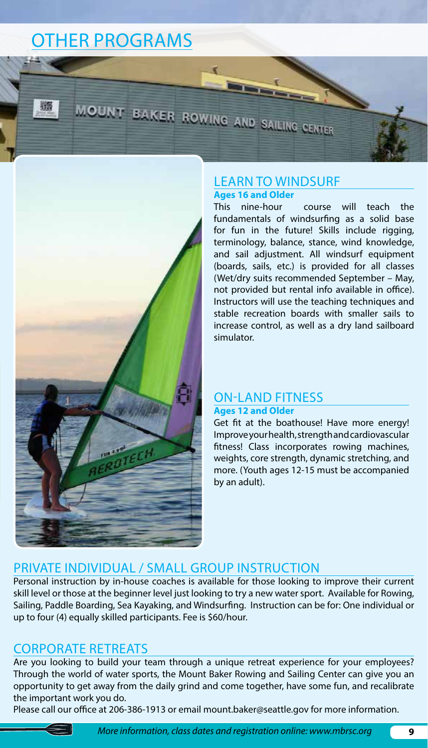### OTHER PROGRAMS



#### LEARN TO WINDSURF **Ages 16 and Older**

MOUNT BAKER ROWING AND SAILING CENTER

This nine-hour course will teach the fundamentals of windsurfing as a solid base for fun in the future! Skills include rigging, terminology, balance, stance, wind knowledge, and sail adjustment. All windsurf equipment (boards, sails, etc.) is provided for all classes (Wet/dry suits recommended September – May, not provided but rental info available in office). Instructors will use the teaching techniques and stable recreation boards with smaller sails to increase control, as well as a dry land sailboard simulator.

#### ON-LAND FITNESS **Ages 12 and Older**

Get fit at the boathouse! Have more energy! Improve your health, strength and cardiovascular fitness! Class incorporates rowing machines, weights, core strength, dynamic stretching, and more. (Youth ages 12-15 must be accompanied by an adult).

#### PRIVATE INDIVIDUAL / SMALL GROUP INSTRUCTION

Personal instruction by in-house coaches is available for those looking to improve their current skill level or those at the beginner level just looking to try a new water sport. Available for Rowing, Sailing, Paddle Boarding, Sea Kayaking, and Windsurfing. Instruction can be for: One individual or up to four (4) equally skilled participants. Fee is \$60/hour.

#### CORPORATE RETREATS

Are you looking to build your team through a unique retreat experience for your employees? Through the world of water sports, the Mount Baker Rowing and Sailing Center can give you an opportunity to get away from the daily grind and come together, have some fun, and recalibrate the important work you do.

Please call our office at 206-386-1913 or email mount.baker@seattle.gov for more information.

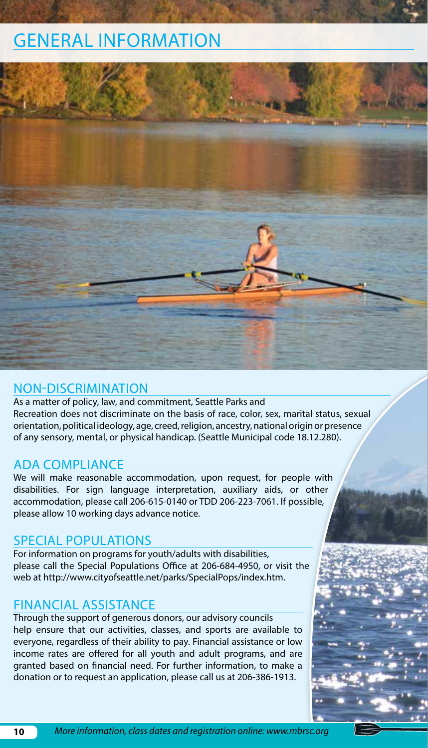### GENERAL INFORMATION



#### NON-DISCRIMINATION

As a matter of policy, law, and commitment, Seattle Parks and Recreation does not discriminate on the basis of race, color, sex, marital status, sexual orientation, political ideology, age, creed, religion, ancestry, national origin or presence of any sensory, mental, or physical handicap. (Seattle Municipal code 18.12.280).

#### ADA COMPLIANCE

We will make reasonable accommodation, upon request, for people with disabilities. For sign language interpretation, auxiliary aids, or other accommodation, please call 206-615-0140 or TDD 206-223-7061. If possible, please allow 10 working days advance notice.

#### SPECIAL POPULATIONS

For information on programs for youth/adults with disabilities, please call the Special Populations Office at 206-684-4950, or visit the web at http://www.cityofseattle.net/parks/SpecialPops/index.htm.

#### FINANCIAL ASSISTANCE

Through the support of generous donors, our advisory councils help ensure that our activities, classes, and sports are available to everyone, regardless of their ability to pay. Financial assistance or low income rates are offered for all youth and adult programs, and are granted based on financial need. For further information, to make a donation or to request an application, please call us at 206-386-1913.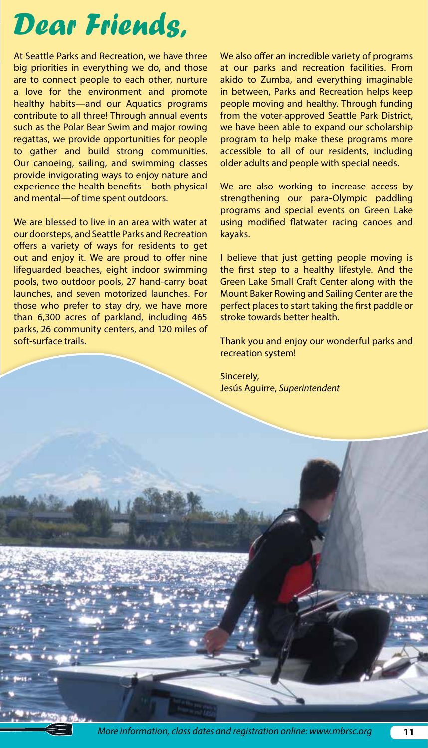## *Dear Friends,*

At Seattle Parks and Recreation, we have three big priorities in everything we do, and those are to connect people to each other, nurture a love for the environment and promote healthy habits—and our Aquatics programs contribute to all three! Through annual events such as the Polar Bear Swim and major rowing regattas, we provide opportunities for people to gather and build strong communities. Our canoeing, sailing, and swimming classes provide invigorating ways to enjoy nature and experience the health benefits—both physical and mental—of time spent outdoors.

We are blessed to live in an area with water at our doorsteps, and Seattle Parks and Recreation offers a variety of ways for residents to get out and enjoy it. We are proud to offer nine lifeguarded beaches, eight indoor swimming pools, two outdoor pools, 27 hand-carry boat launches, and seven motorized launches. For those who prefer to stay dry, we have more than 6,300 acres of parkland, including 465 parks, 26 community centers, and 120 miles of soft-surface trails.

We also offer an incredible variety of programs at our parks and recreation facilities. From akido to Zumba, and everything imaginable in between, Parks and Recreation helps keep people moving and healthy. Through funding from the voter-approved Seattle Park District, we have been able to expand our scholarship program to help make these programs more accessible to all of our residents, including older adults and people with special needs.

We are also working to increase access by strengthening our para-Olympic paddling programs and special events on Green Lake using modified flatwater racing canoes and kayaks.

I believe that just getting people moving is the first step to a healthy lifestyle. And the Green Lake Small Craft Center along with the Mount Baker Rowing and Sailing Center are the perfect places to start taking the first paddle or stroke towards better health.

Thank you and enjoy our wonderful parks and recreation system!

Sincerely, Jesús Aguirre, *Superintendent*